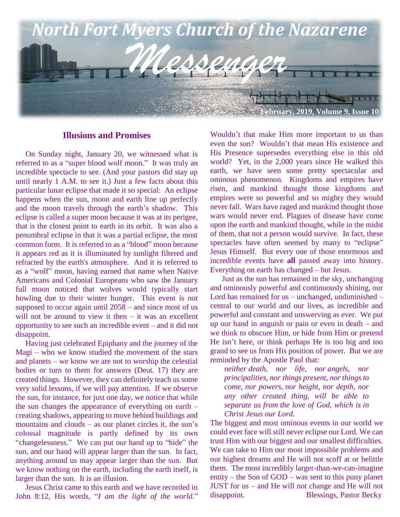

## **Illusions and Promises**

 On Sunday night, January 20, we witnessed what is referred to as a "super blood wolf moon." It was truly an incredible spectacle to see. (And your pastors did stay up until nearly 1 A.M. to see it.) Just a few facts about this particular lunar eclipse that made it so special: An eclipse happens when the sun, moon and earth line up perfectly and the moon travels through the earth's shadow. This eclipse is called a super moon because it was at its perigee, that is the closest point to earth in its orbit. It was also a penumbral eclipse in that it was a partial eclipse, the most common form. It is referred to as a "blood" moon because it appears red as it is illuminated by sunlight filtered and refracted by the earth's atmosphere. And it is referred to as a "wolf" moon, having earned that name when Native Americans and Colonial Europeans who saw the January full moon noticed that wolves would typically start howling due to their winter hunger. This event is not supposed to occur again until 2058 – and since most of us will not be around to view it then – it was an excellent opportunity to see such an incredible event – and it did not disappoint.

 Having just celebrated Epiphany and the journey of the Magi – who we know studied the movement of the stars and planets – we know we are not to worship the celestial bodies or turn to them for answers (Deut. 17) they are created things. However, they can definitely teach us some very solid lessons, if we will pay attention. If we observe the sun, for instance, for just one day, we notice that while the sun changes the appearance of everything on earth – creating shadows, appearing to move behind buildings and mountains and clouds – as our planet circles it, the sun's colossal magnitude is partly defined by its own "changelessness." We can put our hand up to "hide" the sun, and our hand will appear larger than the sun. In fact, anything around us may appear larger than the sun. But we know nothing on the earth, including the earth itself, is larger than the sun. It is an illusion.

 Jesus Christ came to this earth and we have recorded in John 8:12, His words, "*I am the light of the world.*" Wouldn't that make Him more important to us than even the sun? Wouldn't that mean His existence and His Presence supersedes everything else in this old world? Yet, in the 2,000 years since He walked this earth, we have seen some pretty spectacular and ominous phenomenon. Kingdoms and empires have risen, and mankind thought those kingdoms and empires were so powerful and so mighty they would never fall. Wars have raged and mankind thought those wars would never end. Plagues of disease have come upon the earth and mankind thought, while in the midst of them, that not a person would survive. In fact, these spectacles have often seemed by many to "eclipse" Jesus Himself. But every one of those enormous and incredible events have **all** passed away into history. Everything on earth has changed – but Jesus.

 Just as the sun has remained in the sky, unchanging and ominously powerful and continuously shining, our Lord has remained for us – unchanged, undiminished – central to our world and our lives, as incredible and powerful and constant and unswerving as ever. We put up our hand in anguish or pain or even in death – and we think to obscure Him, or hide from Him or pretend He isn't here, or think perhaps He is too big and too grand to see us from His position of power. But we are reminded by the Apostle Paul that:

*neither death, nor life, nor angels, nor principalities, nor things present, nor things to come, nor powers, nor height, nor depth, nor any other created thing, will be able to separate us from the love of God, which is in Christ Jesus our Lord.*

The biggest and most ominous events in our world we could ever face will still never eclipse our Lord. We can trust Him with our biggest and our smallest difficulties. We can take to Him our most impossible problems and our highest dreams and He will not scoff at or belittle them. The most incredibly larger-than-we-can-imagine entity – the Son of GOD – was sent to this puny planet JUST for us – and He will not change and He will not disappoint. Blessings, Pastor Becky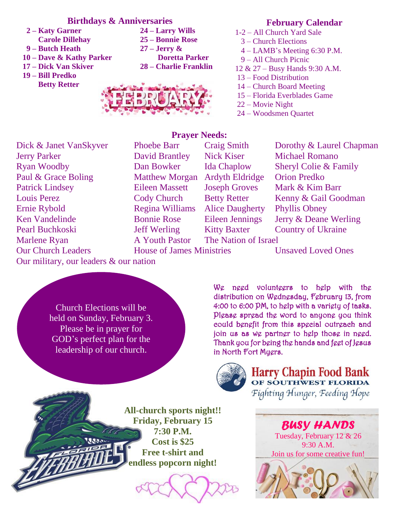# **Birthdays & Anniversaries**

- **2 – Katy Garner 24 – Larry Wills Carole Dillehay 25 – Bonnie Rose**
- **9 – Butch Heath 27 – Jerry &**
- 
- 
- **19 – Bill Predko Betty Retter**
- **10 – Dave & Kathy Parker Doretta Parker 17 – Dick Van Skiver 28 – Charlie Franklin**



# **February Calendar**

- 1-2 All Church Yard Sale
	- 3 Church Elections
	- 4 LAMB's Meeting 6:30 P.M.
	- 9 All Church Picnic
- 12 & 27 Busy Hands 9:30 A.M.
- 13 Food Distribution
- 14 Church Board Meeting
- 15 Florida Everblades Game
- 22 Movie Night
- 24 Woodsmen Quartet

# **Prayer Needs:**

Dick & Janet VanSkyver Phoebe Barr Craig Smith Dorothy & Laurel Chapman Jerry Parker David Brantley Nick Kiser Michael Romano Ryan Woodby Dan Bowker Ida Chaplow Sheryl Colie & Family Paul & Grace Boling Matthew Morgan Ardyth Eldridge Orion Predko Ken Vandelinde Bonnie Rose Eileen Jennings Jerry & Deane Werling Pearl Buchkoski Jeff Werling Kitty Baxter Country of Ukraine Marlene Ryan A Youth Pastor The Nation of Israel Our Church Leaders House of James Ministries Unsaved Loved Ones **Patrick Lindsey Louis Perez Ernie Rybold** 

Regina Williams Alice Daugherty Phyllis Obney

**Craig Smith** 

Eileen Massett Joseph Groves Mark & Kim Barr Cody Church Betty Retter Kenny & Gail Goodman

Our military, our leaders & our nation

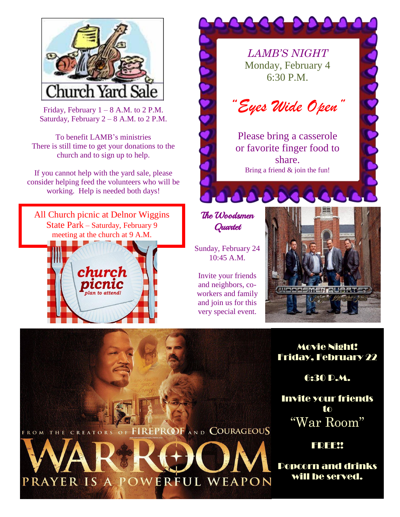

Friday, February  $1 - 8$  A.M. to 2 P.M. Saturday, February  $2 - 8$  A.M. to 2 P.M.

To benefit LAMB's ministries There is still time to get your donations to the church and to sign up to help.

If you cannot help with the yard sale, please consider helping feed the volunteers who will be working. Help is needed both days!

All Church picnic at Delnor Wiggins State Park – Saturday, February 9 meeting at the church at 9 A.M.



FROM THE CREATORS OF FIREPROOF AND COURAGEOUS

PRAYER IS A POWERFUL WEAPON



6:30 P.M.

Invite your friends to "War Room"

**FREE!** 

Popcorn and drinks will be served.